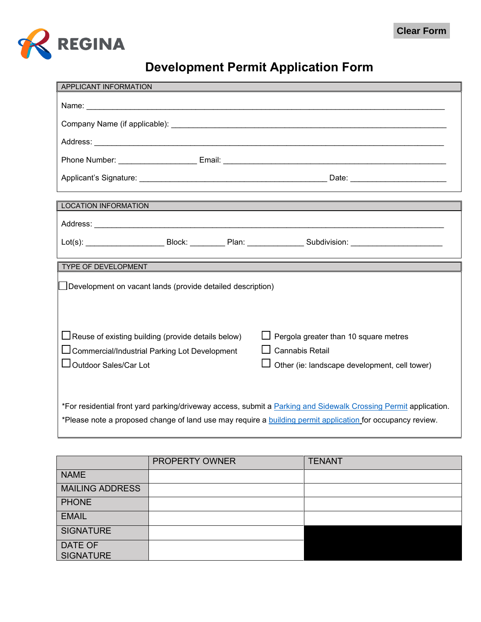

## **Development Permit Application Form**

| APPLICANT INFORMATION                                                                                                                                                                                                         |                                                                         |  |  |
|-------------------------------------------------------------------------------------------------------------------------------------------------------------------------------------------------------------------------------|-------------------------------------------------------------------------|--|--|
|                                                                                                                                                                                                                               |                                                                         |  |  |
|                                                                                                                                                                                                                               |                                                                         |  |  |
|                                                                                                                                                                                                                               |                                                                         |  |  |
|                                                                                                                                                                                                                               |                                                                         |  |  |
|                                                                                                                                                                                                                               |                                                                         |  |  |
| <b>LOCATION INFORMATION</b>                                                                                                                                                                                                   |                                                                         |  |  |
|                                                                                                                                                                                                                               |                                                                         |  |  |
| Lot(s): ___________________________Block: ____________Plan: ____________________Subdivision: _______________________                                                                                                          |                                                                         |  |  |
| TYPE OF DEVELOPMENT                                                                                                                                                                                                           |                                                                         |  |  |
| Development on vacant lands (provide detailed description)                                                                                                                                                                    |                                                                         |  |  |
|                                                                                                                                                                                                                               |                                                                         |  |  |
|                                                                                                                                                                                                                               |                                                                         |  |  |
| Reuse of existing building (provide details below)                                                                                                                                                                            | Pergola greater than 10 square metres                                   |  |  |
| <b>Commercial/Industrial Parking Lot Development</b><br>Outdoor Sales/Car Lot                                                                                                                                                 | <b>Cannabis Retail</b><br>Other (ie: landscape development, cell tower) |  |  |
|                                                                                                                                                                                                                               |                                                                         |  |  |
|                                                                                                                                                                                                                               |                                                                         |  |  |
|                                                                                                                                                                                                                               |                                                                         |  |  |
| *For residential front yard parking/driveway access, submit a Parking and Sidewalk Crossing Permit application.<br>*Please note a proposed change of land use may require a building permit application for occupancy review. |                                                                         |  |  |

|                             | PROPERTY OWNER | <b>TENANT</b> |
|-----------------------------|----------------|---------------|
| <b>NAME</b>                 |                |               |
| <b>MAILING ADDRESS</b>      |                |               |
| <b>PHONE</b>                |                |               |
| <b>EMAIL</b>                |                |               |
| <b>SIGNATURE</b>            |                |               |
| DATE OF<br><b>SIGNATURE</b> |                |               |